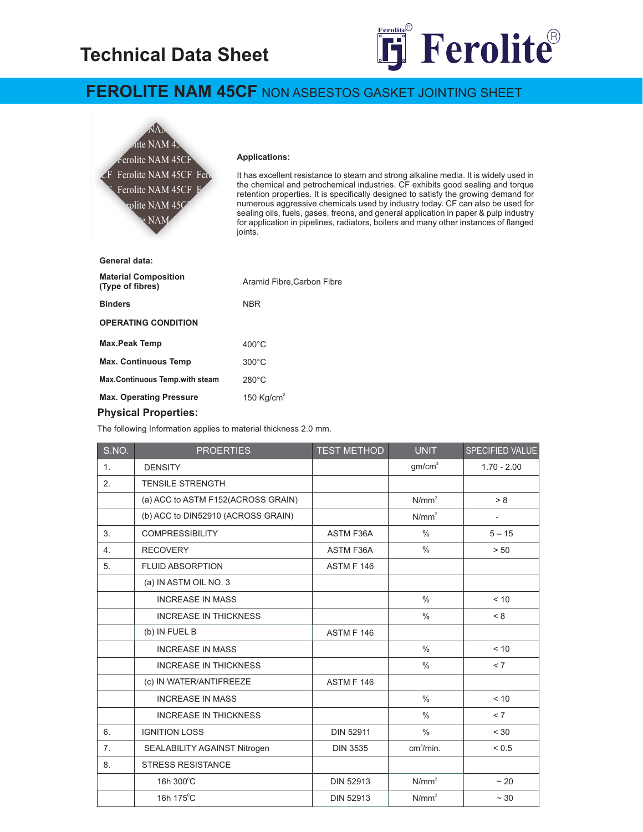# **Technical Data Sheet**



## **FEROLITE NAM 45CF** NON ASBESTOS GASKET JOINTING SHEET



#### **Applications:**

It has excellent resistance to steam and strong alkaline media. It is widely used in the chemical and petrochemical industries. CF exhibits good sealing and torque retention properties. It is specifically designed to satisfy the growing demand for numerous aggressive chemicals used by industry today. CF can also be used for sealing oils, fuels, gases, freons, and general application in paper & pulp industry For application in pipelines, radiators, boilers and many other instances of flanged joints.

| General data:                                   |                           |  |  |  |
|-------------------------------------------------|---------------------------|--|--|--|
| <b>Material Composition</b><br>(Type of fibres) | Aramid Fibre.Carbon Fibre |  |  |  |
| <b>Binders</b>                                  | <b>NBR</b>                |  |  |  |
| <b>OPERATING CONDITION</b>                      |                           |  |  |  |
| <b>Max.Peak Temp</b>                            | $400^{\circ}$ C           |  |  |  |
| <b>Max. Continuous Temp</b>                     | $300^{\circ}$ C           |  |  |  |
| Max.Continuous Temp.with steam                  | $280^\circ C$             |  |  |  |
| <b>Max. Operating Pressure</b>                  | 150 Kg/cm <sup>2</sup>    |  |  |  |
| <b>Physical Properties:</b>                     |                           |  |  |  |

The following Information applies to material thickness 2.0 mm.

| S.NO.          | <b>PROERTIES</b>                   | <b>TEST METHOD</b> | <b>UNIT</b>           | SPECIFIED VALUE          |
|----------------|------------------------------------|--------------------|-----------------------|--------------------------|
| 1 <sub>1</sub> | <b>DENSITY</b>                     |                    | gm/cm <sup>3</sup>    | $1.70 - 2.00$            |
| 2.             | <b>TENSILE STRENGTH</b>            |                    |                       |                          |
|                | (a) ACC to ASTM F152(ACROSS GRAIN) |                    | N/mm <sup>2</sup>     | > 8                      |
|                | (b) ACC to DIN52910 (ACROSS GRAIN) |                    | N/mm <sup>2</sup>     | $\overline{\phantom{0}}$ |
| 3.             | <b>COMPRESSIBILITY</b>             | <b>ASTM F36A</b>   | $\frac{0}{0}$         | $5 - 15$                 |
| 4.             | <b>RECOVERY</b>                    | ASTM F36A          | $\frac{0}{0}$         | > 50                     |
| 5.             | <b>FLUID ABSORPTION</b>            | ASTM F 146         |                       |                          |
|                | (a) IN ASTM OIL NO. 3              |                    |                       |                          |
|                | <b>INCREASE IN MASS</b>            |                    | $\frac{0}{0}$         | < 10                     |
|                | <b>INCREASE IN THICKNESS</b>       |                    | $\frac{0}{0}$         | < 8                      |
|                | (b) IN FUEL B                      | ASTM F 146         |                       |                          |
|                | <b>INCREASE IN MASS</b>            |                    | $\frac{0}{0}$         | < 10                     |
|                | <b>INCREASE IN THICKNESS</b>       |                    | $\frac{0}{0}$         | < 7                      |
|                | (c) IN WATER/ANTIFREEZE            | ASTM F 146         |                       |                          |
|                | <b>INCREASE IN MASS</b>            |                    | $\frac{0}{0}$         | < 10                     |
|                | <b>INCREASE IN THICKNESS</b>       |                    | $\frac{0}{0}$         | < 7                      |
| 6.             | <b>IGNITION LOSS</b>               | <b>DIN 52911</b>   | $\frac{0}{0}$         | < 30                     |
| 7.             | SEALABILITY AGAINST Nitrogen       | <b>DIN 3535</b>    | cm <sup>3</sup> /min. | ${}_{0.5}$               |
| 8.             | <b>STRESS RESISTANCE</b>           |                    |                       |                          |
|                | 16h 300°C                          | <b>DIN 52913</b>   | N/mm <sup>2</sup>     | ~20                      |
|                | 16h 175°C                          | <b>DIN 52913</b>   | $N/mm^2$              | $\sim$ 30                |